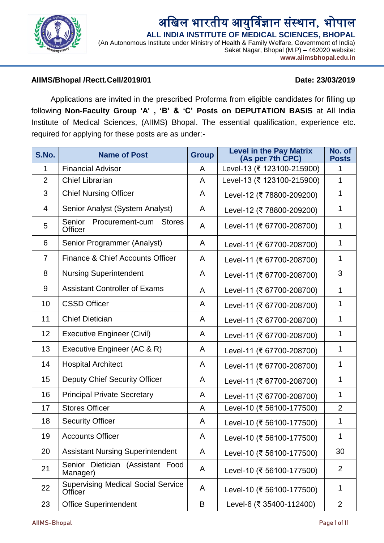

# अखिल भारतीय आयुर्विज्ञान संस्थान, भोपाल

 **ALL INDIA INSTITUTE OF MEDICAL SCIENCES, BHOPAL**

(An Autonomous Institute under Ministry of Health & Family Welfare, Government of India) Saket Nagar, Bhopal (M.P) – 462020 website: **www.aiimsbhopal.edu.in**

## **AIIMS/Bhopal /Rectt.Cell/2019/01 Date: 23/03/2019**

Applications are invited in the prescribed Proforma from eligible candidates for filling up following **Non-Faculty Group 'A' , 'B' & 'C' Posts on DEPUTATION BASIS** at All India Institute of Medical Sciences, (AIIMS) Bhopal. The essential qualification, experience etc. required for applying for these posts are as under:-

| S.No.          | <b>Name of Post</b>                                          | <b>Group</b> | <b>Level in the Pay Matrix</b><br>(As per 7th CPC) | No. of<br><b>Posts</b> |
|----------------|--------------------------------------------------------------|--------------|----------------------------------------------------|------------------------|
| 1              | <b>Financial Advisor</b>                                     | A            | Level-13 (₹ 123100-215900)                         | 1                      |
| $\overline{2}$ | <b>Chief Librarian</b>                                       | A            | Level-13 (₹ 123100-215900)                         | 1                      |
| 3              | <b>Chief Nursing Officer</b>                                 | A            | Level-12 (₹ 78800-209200)                          | 1                      |
| 4              | Senior Analyst (System Analyst)                              | A            | Level-12 (₹ 78800-209200)                          | 1                      |
| 5              | Senior<br>Procurement-cum<br><b>Stores</b><br><b>Officer</b> | A            | Level-11 (₹ 67700-208700)                          | 1                      |
| 6              | Senior Programmer (Analyst)                                  | A            | Level-11 (₹ 67700-208700)                          | 1                      |
| $\overline{7}$ | Finance & Chief Accounts Officer                             | A            | Level-11 (₹ 67700-208700)                          | 1                      |
| 8              | <b>Nursing Superintendent</b>                                | A            | Level-11 (₹ 67700-208700)                          | 3                      |
| 9              | <b>Assistant Controller of Exams</b>                         | A            | Level-11 (₹ 67700-208700)                          | 1                      |
| 10             | <b>CSSD Officer</b>                                          | A            | Level-11 (₹ 67700-208700)                          | 1                      |
| 11             | <b>Chief Dietician</b>                                       | A            | Level-11 (₹ 67700-208700)                          | 1                      |
| 12             | <b>Executive Engineer (Civil)</b>                            | A            | Level-11 (₹ 67700-208700)                          | 1                      |
| 13             | Executive Engineer (AC & R)                                  | A            | Level-11 (₹ 67700-208700)                          | 1                      |
| 14             | <b>Hospital Architect</b>                                    | A            | Level-11 (₹ 67700-208700)                          | 1                      |
| 15             | Deputy Chief Security Officer                                | A            | Level-11 (₹ 67700-208700)                          | 1                      |
| 16             | <b>Principal Private Secretary</b>                           | A            | Level-11 (₹ 67700-208700)                          | 1                      |
| 17             | <b>Stores Officer</b>                                        | A            | Level-10 (₹ 56100-177500)                          | $\overline{2}$         |
| 18             | <b>Security Officer</b>                                      | A            | Level-10 (₹ 56100-177500)                          | 1                      |
| 19             | <b>Accounts Officer</b>                                      | A            | Level-10 (₹ 56100-177500)                          | 1                      |
| 20             | <b>Assistant Nursing Superintendent</b>                      | A            | Level-10 (₹ 56100-177500)                          | 30                     |
| 21             | Senior Dietician (Assistant Food<br>Manager)                 | A            | Level-10 (₹ 56100-177500)                          | 2                      |
| 22             | <b>Supervising Medical Social Service</b><br>Officer         | A            | Level-10 (₹ 56100-177500)                          | 1                      |
| 23             | <b>Office Superintendent</b>                                 | B            | Level-6 (₹ 35400-112400)                           | $\overline{2}$         |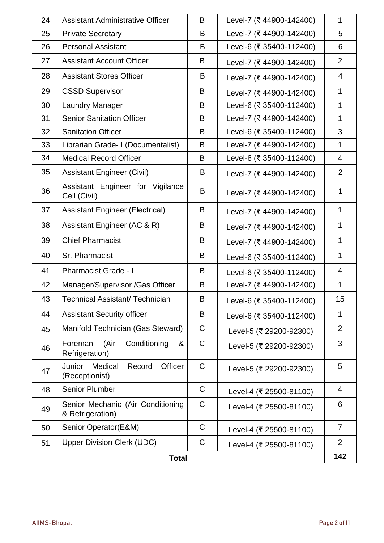| 24           | <b>Assistant Administrative Officer</b>                  | B            | Level-7 (₹ 44900-142400) | $\mathbf{1}$   |
|--------------|----------------------------------------------------------|--------------|--------------------------|----------------|
| 25           | <b>Private Secretary</b>                                 | B            | Level-7 (₹ 44900-142400) | 5              |
| 26           | <b>Personal Assistant</b>                                | B            | Level-6 (₹ 35400-112400) | 6              |
| 27           | <b>Assistant Account Officer</b>                         | B            | Level-7 (₹ 44900-142400) | $\overline{2}$ |
| 28           | <b>Assistant Stores Officer</b>                          | B            | Level-7 (₹ 44900-142400) | 4              |
| 29           | <b>CSSD Supervisor</b>                                   | B            | Level-7 (₹ 44900-142400) | $\mathbf{1}$   |
| 30           | Laundry Manager                                          | B            | Level-6 (₹ 35400-112400) | $\mathbf 1$    |
| 31           | <b>Senior Sanitation Officer</b>                         | B            | Level-7 (₹ 44900-142400) | $\mathbf{1}$   |
| 32           | <b>Sanitation Officer</b>                                | B            | Level-6 (₹ 35400-112400) | 3              |
| 33           | Librarian Grade- I (Documentalist)                       | B            | Level-7 (₹ 44900-142400) | $\mathbf 1$    |
| 34           | <b>Medical Record Officer</b>                            | B            | Level-6 (₹ 35400-112400) | $\overline{4}$ |
| 35           | <b>Assistant Engineer (Civil)</b>                        | B            | Level-7 (₹ 44900-142400) | $\overline{2}$ |
| 36           | Assistant Engineer for Vigilance<br>Cell (Civil)         | B            | Level-7 (₹ 44900-142400) | 1              |
| 37           | <b>Assistant Engineer (Electrical)</b>                   | B            | Level-7 (₹ 44900-142400) | $\mathbf 1$    |
| 38           | Assistant Engineer (AC & R)                              | B            | Level-7 (₹ 44900-142400) | $\mathbf 1$    |
| 39           | <b>Chief Pharmacist</b>                                  | B            | Level-7 (₹ 44900-142400) | $\mathbf 1$    |
| 40           | Sr. Pharmacist                                           | B            | Level-6 (₹ 35400-112400) | $\mathbf{1}$   |
| 41           | <b>Pharmacist Grade - I</b>                              | B            | Level-6 (₹ 35400-112400) | 4              |
| 42           | Manager/Supervisor / Gas Officer                         | B            | Level-7 (₹ 44900-142400) | $\mathbf{1}$   |
| 43           | <b>Technical Assistant/ Technician</b>                   | B            | Level-6 (₹ 35400-112400) | 15             |
| 44           | <b>Assistant Security officer</b>                        | B            | Level-6 (₹ 35400-112400) | $\mathbf 1$    |
| 45           | Manifold Technician (Gas Steward)                        | C            | Level-5 (₹ 29200-92300)  | $\overline{2}$ |
| 46           | (Air<br>Conditioning<br>Foreman<br>&<br>Refrigeration)   | $\mathsf C$  | Level-5 (₹ 29200-92300)  | 3              |
| 47           | Junior<br>Medical<br>Record<br>Officer<br>(Receptionist) | $\mathsf C$  | Level-5 (₹ 29200-92300)  | 5              |
| 48           | <b>Senior Plumber</b>                                    | $\mathsf C$  | Level-4 (₹ 25500-81100)  | 4              |
| 49           | Senior Mechanic (Air Conditioning<br>& Refrigeration)    | $\mathsf{C}$ | Level-4 (₹ 25500-81100)  | 6              |
| 50           | Senior Operator(E&M)                                     | $\mathsf C$  | Level-4 (₹ 25500-81100)  | $\overline{7}$ |
| 51           | <b>Upper Division Clerk (UDC)</b>                        | C            | Level-4 (₹ 25500-81100)  | $\overline{2}$ |
| <b>Total</b> |                                                          |              | 142                      |                |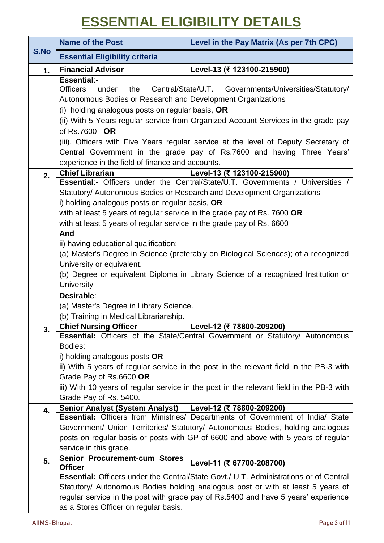# **ESSENTIAL ELIGIBILITY DETAILS**

|             | <b>Name of the Post</b>                                                                                                                                                                                                                                                                                                                                                                                                                                                                                                                                                                                                                                                                                         | Level in the Pay Matrix (As per 7th CPC)                                                                                                                                                                                                                                                                      |  |
|-------------|-----------------------------------------------------------------------------------------------------------------------------------------------------------------------------------------------------------------------------------------------------------------------------------------------------------------------------------------------------------------------------------------------------------------------------------------------------------------------------------------------------------------------------------------------------------------------------------------------------------------------------------------------------------------------------------------------------------------|---------------------------------------------------------------------------------------------------------------------------------------------------------------------------------------------------------------------------------------------------------------------------------------------------------------|--|
| <b>S.No</b> | <b>Essential Eligibility criteria</b>                                                                                                                                                                                                                                                                                                                                                                                                                                                                                                                                                                                                                                                                           |                                                                                                                                                                                                                                                                                                               |  |
| 1.          | <b>Financial Advisor</b>                                                                                                                                                                                                                                                                                                                                                                                                                                                                                                                                                                                                                                                                                        | Level-13 (₹ 123100-215900)                                                                                                                                                                                                                                                                                    |  |
|             | <b>Essential:-</b><br><b>Officers</b><br>the<br>under<br>Autonomous Bodies or Research and Development Organizations<br>(i) holding analogous posts on regular basis, $OR$<br>of Rs.7600 OR<br>experience in the field of finance and accounts.                                                                                                                                                                                                                                                                                                                                                                                                                                                                 | Central/State/U.T. Governments/Universities/Statutory/<br>(ii) With 5 Years regular service from Organized Account Services in the grade pay<br>(iii). Officers with Five Years regular service at the level of Deputy Secretary of<br>Central Government in the grade pay of Rs.7600 and having Three Years' |  |
| 2.          | <b>Chief Librarian</b>                                                                                                                                                                                                                                                                                                                                                                                                                                                                                                                                                                                                                                                                                          | Level-13 (₹ 123100-215900)                                                                                                                                                                                                                                                                                    |  |
|             | <b>Essential:-</b> Officers under the Central/State/U.T. Governments / Universities /<br>Statutory/ Autonomous Bodies or Research and Development Organizations<br>i) holding analogous posts on regular basis, OR<br>with at least 5 years of regular service in the grade pay of Rs. 7600 OR<br>with at least 5 years of regular service in the grade pay of Rs. 6600<br>And<br>ii) having educational qualification:<br>(a) Master's Degree in Science (preferably on Biological Sciences); of a recognized<br>University or equivalent.<br>(b) Degree or equivalent Diploma in Library Science of a recognized Institution or<br><b>University</b><br>Desirable:<br>(a) Master's Degree in Library Science. |                                                                                                                                                                                                                                                                                                               |  |
| 3.          | (b) Training in Medical Librarianship.<br><b>Chief Nursing Officer</b>                                                                                                                                                                                                                                                                                                                                                                                                                                                                                                                                                                                                                                          | Level-12 (₹ 78800-209200)                                                                                                                                                                                                                                                                                     |  |
|             | Essential: Officers of the State/Central Government or Statutory/ Autonomous<br>Bodies:<br>i) holding analogous posts OR<br>ii) With 5 years of regular service in the post in the relevant field in the PB-3 with<br>Grade Pay of Rs.6600 OR<br>iii) With 10 years of regular service in the post in the relevant field in the PB-3 with<br>Grade Pay of Rs. 5400.                                                                                                                                                                                                                                                                                                                                             |                                                                                                                                                                                                                                                                                                               |  |
| 4.          | <b>Senior Analyst (System Analyst)</b>                                                                                                                                                                                                                                                                                                                                                                                                                                                                                                                                                                                                                                                                          | Level-12 (₹ 78800-209200)                                                                                                                                                                                                                                                                                     |  |
|             | <b>Essential:</b> Officers from Ministries/ Departments of Government of India/ State<br>Government/ Union Territories/ Statutory/ Autonomous Bodies, holding analogous<br>posts on regular basis or posts with GP of 6600 and above with 5 years of regular<br>service in this grade.                                                                                                                                                                                                                                                                                                                                                                                                                          |                                                                                                                                                                                                                                                                                                               |  |
| 5.          | <b>Senior Procurement-cum Stores</b><br><b>Officer</b>                                                                                                                                                                                                                                                                                                                                                                                                                                                                                                                                                                                                                                                          | Level-11 (₹ 67700-208700)                                                                                                                                                                                                                                                                                     |  |
|             | <b>Essential: Officers under the Central/State Govt./ U.T. Administrations or of Central</b><br>Statutory/ Autonomous Bodies holding analogous post or with at least 5 years of<br>regular service in the post with grade pay of Rs.5400 and have 5 years' experience<br>as a Stores Officer on regular basis.                                                                                                                                                                                                                                                                                                                                                                                                  |                                                                                                                                                                                                                                                                                                               |  |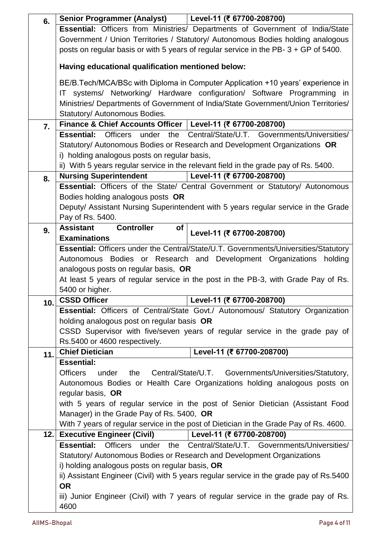| 6.  | Senior Programmer (Analyst)   Level-11 (₹ 67700-208700)                             |                                                                                         |  |  |  |
|-----|-------------------------------------------------------------------------------------|-----------------------------------------------------------------------------------------|--|--|--|
|     |                                                                                     | Essential: Officers from Ministries/ Departments of Government of India/State           |  |  |  |
|     |                                                                                     | Government / Union Territories / Statutory/ Autonomous Bodies holding analogous         |  |  |  |
|     | posts on regular basis or with 5 years of regular service in the PB-3 + GP of 5400. |                                                                                         |  |  |  |
|     |                                                                                     |                                                                                         |  |  |  |
|     | Having educational qualification mentioned below:                                   |                                                                                         |  |  |  |
|     |                                                                                     |                                                                                         |  |  |  |
|     |                                                                                     | BE/B.Tech/MCA/BSc with Diploma in Computer Application +10 years' experience in         |  |  |  |
|     |                                                                                     | IT systems/ Networking/ Hardware configuration/ Software Programming in                 |  |  |  |
|     |                                                                                     | Ministries/ Departments of Government of India/State Government/Union Territories/      |  |  |  |
|     | Statutory/ Autonomous Bodies.                                                       |                                                                                         |  |  |  |
| 7.  | Finance & Chief Accounts Officer   Level-11 (₹ 67700-208700)                        |                                                                                         |  |  |  |
|     | under the<br><b>Essential: Officers</b>                                             | Central/State/U.T. Governments/Universities/                                            |  |  |  |
|     |                                                                                     | Statutory/ Autonomous Bodies or Research and Development Organizations OR               |  |  |  |
|     | i) holding analogous posts on regular basis,                                        |                                                                                         |  |  |  |
|     |                                                                                     | ii) With 5 years regular service in the relevant field in the grade pay of Rs. 5400.    |  |  |  |
| 8.  | <b>Nursing Superintendent</b>                                                       | Level-11 (₹ 67700-208700)                                                               |  |  |  |
|     |                                                                                     | Essential: Officers of the State/ Central Government or Statutory/ Autonomous           |  |  |  |
|     | Bodies holding analogous posts OR                                                   |                                                                                         |  |  |  |
|     |                                                                                     | Deputy/ Assistant Nursing Superintendent with 5 years regular service in the Grade      |  |  |  |
|     | Pay of Rs. 5400.                                                                    |                                                                                         |  |  |  |
| 9.  | <b>Assistant</b><br><b>Controller</b><br>of                                         |                                                                                         |  |  |  |
|     | <b>Examinations</b>                                                                 | Level-11 (₹ 67700-208700)                                                               |  |  |  |
|     |                                                                                     | Essential: Officers under the Central/State/U.T. Governments/Universities/Statutory     |  |  |  |
|     |                                                                                     | Autonomous Bodies or Research and Development Organizations<br>holding                  |  |  |  |
|     | analogous posts on regular basis, OR                                                |                                                                                         |  |  |  |
|     |                                                                                     | At least 5 years of regular service in the post in the PB-3, with Grade Pay of Rs.      |  |  |  |
|     | 5400 or higher.                                                                     |                                                                                         |  |  |  |
|     | <b>CSSD Officer</b>                                                                 | Level-11 (₹ 67700-208700)                                                               |  |  |  |
| 10. |                                                                                     | <b>Essential:</b> Officers of Central/State Govt./ Autonomous/ Statutory Organization   |  |  |  |
|     | holding analogous post on regular basis OR                                          |                                                                                         |  |  |  |
|     |                                                                                     | CSSD Supervisor with five/seven years of regular service in the grade pay of            |  |  |  |
|     | Rs.5400 or 4600 respectively.                                                       |                                                                                         |  |  |  |
|     | <b>Chief Dietician</b>                                                              | Level-11 (₹ 67700-208700)                                                               |  |  |  |
| 11. | <b>Essential:</b>                                                                   |                                                                                         |  |  |  |
|     |                                                                                     |                                                                                         |  |  |  |
|     | <b>Officers</b><br>the<br>under                                                     | Central/State/U.T. Governments/Universities/Statutory,                                  |  |  |  |
|     |                                                                                     | Autonomous Bodies or Health Care Organizations holding analogous posts on               |  |  |  |
|     | regular basis, OR                                                                   |                                                                                         |  |  |  |
|     |                                                                                     | with 5 years of regular service in the post of Senior Dietician (Assistant Food         |  |  |  |
|     | Manager) in the Grade Pay of Rs. 5400, OR                                           |                                                                                         |  |  |  |
|     |                                                                                     | With 7 years of regular service in the post of Dietician in the Grade Pay of Rs. 4600.  |  |  |  |
|     | 12. Executive Engineer (Civil)                                                      | Level-11 (₹ 67700-208700)                                                               |  |  |  |
|     | <b>Essential:</b><br><b>Officers</b><br>under the                                   | Central/State/U.T. Governments/Universities/                                            |  |  |  |
|     |                                                                                     | Statutory/ Autonomous Bodies or Research and Development Organizations                  |  |  |  |
|     | i) holding analogous posts on regular basis, OR                                     |                                                                                         |  |  |  |
|     |                                                                                     | ii) Assistant Engineer (Civil) with 5 years regular service in the grade pay of Rs.5400 |  |  |  |
|     | <b>OR</b>                                                                           |                                                                                         |  |  |  |
|     |                                                                                     | iii) Junior Engineer (Civil) with 7 years of regular service in the grade pay of Rs.    |  |  |  |
|     | 4600                                                                                |                                                                                         |  |  |  |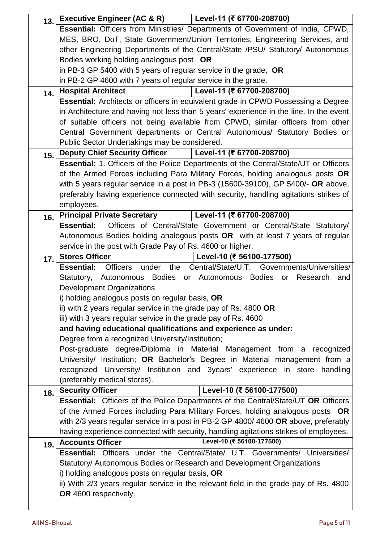| 13. | Executive Engineer (AC & R)   Level-11 (₹ 67700-208700)                                                           |
|-----|-------------------------------------------------------------------------------------------------------------------|
|     | Essential: Officers from Ministries/ Departments of Government of India, CPWD,                                    |
|     | MES, BRO, DoT, State Government/Union Territories, Engineering Services, and                                      |
|     | other Engineering Departments of the Central/State /PSU/ Statutory/ Autonomous                                    |
|     | Bodies working holding analogous post OR                                                                          |
|     | in PB-3 GP 5400 with 5 years of regular service in the grade, $OR$                                                |
|     | in PB-2 GP 4600 with 7 years of regular service in the grade.                                                     |
| 14. | Level-11 (₹ 67700-208700)<br><b>Hospital Architect</b>                                                            |
|     | <b>Essential:</b> Architects or officers in equivalent grade in CPWD Possessing a Degree                          |
|     | in Architecture and having not less than 5 years' experience in the line. In the event                            |
|     | of suitable officers not being available from CPWD, similar officers from other                                   |
|     | Central Government departments or Central Autonomous/ Statutory Bodies or                                         |
|     | Public Sector Undertakings may be considered.                                                                     |
|     | Level-11 (₹ 67700-208700)                                                                                         |
| 15. | <b>Deputy Chief Security Officer</b>                                                                              |
|     | Essential: 1. Officers of the Police Departments of the Central/State/UT or Officers                              |
|     | of the Armed Forces including Para Military Forces, holding analogous posts OR                                    |
|     | with 5 years regular service in a post in PB-3 (15600-39100), GP 5400/- OR above,                                 |
|     | preferably having experience connected with security, handling agitations strikes of                              |
|     | employees.                                                                                                        |
| 16. | Level-11 (₹ 67700-208700)<br><b>Principal Private Secretary</b>                                                   |
|     | Officers of Central/State Government or Central/State Statutory/<br><b>Essential:</b>                             |
|     | Autonomous Bodies holding analogous posts OR with at least 7 years of regular                                     |
|     | service in the post with Grade Pay of Rs. 4600 or higher.                                                         |
| 17. | <b>Stores Officer</b><br>Level-10 (₹ 56100-177500)                                                                |
|     | Central/State/U.T. Governments/Universities/<br><b>Essential:</b><br><b>Officers</b><br>under the                 |
|     | or Autonomous Bodies or<br>Statutory, Autonomous Bodies<br>Research<br>and                                        |
|     | <b>Development Organizations</b>                                                                                  |
|     | i) holding analogous posts on regular basis, OR                                                                   |
|     | ii) with 2 years regular service in the grade pay of Rs. 4800 OR                                                  |
|     | iii) with 3 years regular service in the grade pay of Rs. 4600                                                    |
|     |                                                                                                                   |
|     | and having educational qualifications and experience as under:                                                    |
|     | Degree from a recognized University/Institution;                                                                  |
|     | Post-graduate degree/Diploma in Material Management from a recognized                                             |
|     | University/ Institution; OR Bachelor's Degree in Material management from a                                       |
|     | recognized University/ Institution and 3years' experience in store handling                                       |
|     | (preferably medical stores).                                                                                      |
|     | Level-10 (₹ 56100-177500)<br><b>Security Officer</b>                                                              |
| 18. | <b>Essential:</b> Officers of the Police Departments of the Central/State/UT OR Officers                          |
|     | of the Armed Forces including Para Military Forces, holding analogous posts OR                                    |
|     |                                                                                                                   |
|     | with 2/3 years regular service in a post in PB-2 GP 4800/4600 OR above, preferably                                |
|     | having experience connected with security, handling agitations strikes of employees.<br>Level-10 (₹ 56100-177500) |
| 19. | <b>Accounts Officer</b>                                                                                           |
|     | <b>Essential:</b> Officers under the Central/State/ U.T. Governments/ Universities/                               |
|     | Statutory/ Autonomous Bodies or Research and Development Organizations                                            |
|     | i) holding analogous posts on regular basis, OR                                                                   |
|     | ii) With 2/3 years regular service in the relevant field in the grade pay of Rs. 4800<br>OR 4600 respectively.    |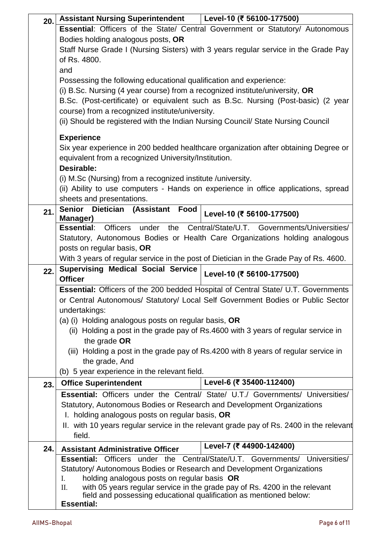| 20. | <b>Assistant Nursing Superintendent</b><br>Level-10 (₹ 56100-177500)                                                                                    |  |  |  |
|-----|---------------------------------------------------------------------------------------------------------------------------------------------------------|--|--|--|
|     | <b>Essential:</b> Officers of the State/ Central Government or Statutory/ Autonomous                                                                    |  |  |  |
|     | Bodies holding analogous posts, OR                                                                                                                      |  |  |  |
|     | Staff Nurse Grade I (Nursing Sisters) with 3 years regular service in the Grade Pay<br>of Rs. 4800.                                                     |  |  |  |
|     |                                                                                                                                                         |  |  |  |
|     | and                                                                                                                                                     |  |  |  |
|     | Possessing the following educational qualification and experience:                                                                                      |  |  |  |
|     | (i) B.Sc. Nursing (4 year course) from a recognized institute/university, OR                                                                            |  |  |  |
|     | B.Sc. (Post-certificate) or equivalent such as B.Sc. Nursing (Post-basic) (2 year                                                                       |  |  |  |
|     | course) from a recognized institute/university.                                                                                                         |  |  |  |
|     | (ii) Should be registered with the Indian Nursing Council/ State Nursing Council                                                                        |  |  |  |
|     |                                                                                                                                                         |  |  |  |
|     | <b>Experience</b>                                                                                                                                       |  |  |  |
|     | Six year experience in 200 bedded healthcare organization after obtaining Degree or                                                                     |  |  |  |
|     | equivalent from a recognized University/Institution.<br>Desirable:                                                                                      |  |  |  |
|     |                                                                                                                                                         |  |  |  |
|     | (i) M.Sc (Nursing) from a recognized institute / university.                                                                                            |  |  |  |
|     | (ii) Ability to use computers - Hands on experience in office applications, spread<br>sheets and presentations.                                         |  |  |  |
|     | Senior Dietician (Assistant<br>Food                                                                                                                     |  |  |  |
| 21. | Level-10 (₹ 56100-177500)<br>Manager)                                                                                                                   |  |  |  |
|     | Central/State/U.T. Governments/Universities/<br><b>Essential:</b><br><b>Officers</b><br>the<br>under                                                    |  |  |  |
|     | Statutory, Autonomous Bodies or Health Care Organizations holding analogous                                                                             |  |  |  |
|     | posts on regular basis, OR                                                                                                                              |  |  |  |
|     | With 3 years of regular service in the post of Dietician in the Grade Pay of Rs. 4600.                                                                  |  |  |  |
| 22. | <b>Supervising Medical Social Service</b><br>Level-10 (₹ 56100-177500)                                                                                  |  |  |  |
|     | <b>Officer</b>                                                                                                                                          |  |  |  |
|     | Essential: Officers of the 200 bedded Hospital of Central State/ U.T. Governments                                                                       |  |  |  |
|     | or Central Autonomous/ Statutory/ Local Self Government Bodies or Public Sector                                                                         |  |  |  |
|     | undertakings:                                                                                                                                           |  |  |  |
|     | (a) (i) Holding analogous posts on regular basis, OR                                                                                                    |  |  |  |
|     | (ii) Holding a post in the grade pay of Rs.4600 with 3 years of regular service in                                                                      |  |  |  |
|     | the grade OR                                                                                                                                            |  |  |  |
|     | (iii) Holding a post in the grade pay of Rs.4200 with 8 years of regular service in                                                                     |  |  |  |
|     | the grade, And                                                                                                                                          |  |  |  |
|     | (b) 5 year experience in the relevant field.                                                                                                            |  |  |  |
| 23. | Level-6 (₹ 35400-112400)<br><b>Office Superintendent</b>                                                                                                |  |  |  |
|     | <b>Essential:</b> Officers under the Central/ State/ U.T./ Governments/ Universities/                                                                   |  |  |  |
|     | Statutory, Autonomous Bodies or Research and Development Organizations                                                                                  |  |  |  |
|     | I. holding analogous posts on regular basis, OR                                                                                                         |  |  |  |
|     | II. with 10 years regular service in the relevant grade pay of Rs. 2400 in the relevant                                                                 |  |  |  |
|     | field.                                                                                                                                                  |  |  |  |
| 24. | Level-7 (₹ 44900-142400)<br><b>Assistant Administrative Officer</b>                                                                                     |  |  |  |
|     | Essential: Officers under the Central/State/U.T. Governments/ Universities/                                                                             |  |  |  |
|     | Statutory/ Autonomous Bodies or Research and Development Organizations                                                                                  |  |  |  |
|     | holding analogous posts on regular basis OR<br>Ι.                                                                                                       |  |  |  |
|     | with 05 years regular service in the grade pay of Rs. 4200 in the relevant<br>II.<br>field and possessing educational qualification as mentioned below: |  |  |  |
|     |                                                                                                                                                         |  |  |  |
|     | <b>Essential:</b>                                                                                                                                       |  |  |  |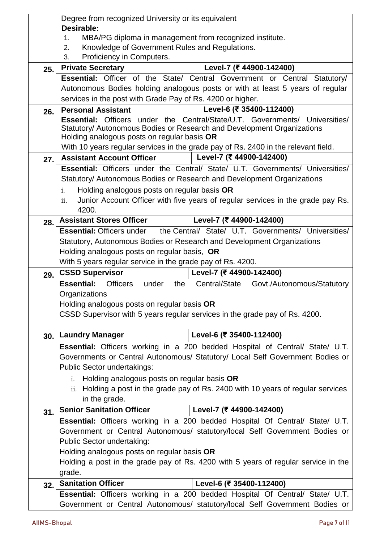|      | Degree from recognized University or its equivalent           |                                                                                      |  |
|------|---------------------------------------------------------------|--------------------------------------------------------------------------------------|--|
|      | Desirable:                                                    |                                                                                      |  |
|      | MBA/PG diploma in management from recognized institute.<br>1. |                                                                                      |  |
|      | Knowledge of Government Rules and Regulations.<br>2.          |                                                                                      |  |
|      | Proficiency in Computers.<br>3.                               |                                                                                      |  |
| 25.  | <b>Private Secretary</b>                                      | Level-7 (₹ 44900-142400)                                                             |  |
|      |                                                               | Essential: Officer of the State/ Central Government or Central Statutory/            |  |
|      |                                                               | Autonomous Bodies holding analogous posts or with at least 5 years of regular        |  |
|      | services in the post with Grade Pay of Rs. 4200 or higher.    |                                                                                      |  |
| 26.  | <b>Personal Assistant</b>                                     | Level-6 (₹ 35400-112400)                                                             |  |
|      | <b>Essential: Officers</b>                                    | under the Central/State/U.T. Governments/ Universities/                              |  |
|      |                                                               | Statutory/ Autonomous Bodies or Research and Development Organizations               |  |
|      | Holding analogous posts on regular basis OR                   |                                                                                      |  |
|      |                                                               | With 10 years regular services in the grade pay of Rs. 2400 in the relevant field.   |  |
| 27.  | <b>Assistant Account Officer</b>                              | Level-7 (₹ 44900-142400)                                                             |  |
|      |                                                               | <b>Essential:</b> Officers under the Central/ State/ U.T. Governments/ Universities/ |  |
|      |                                                               | Statutory/ Autonomous Bodies or Research and Development Organizations               |  |
|      | Holding analogous posts on regular basis OR<br>i.             |                                                                                      |  |
|      | ii.                                                           | Junior Account Officer with five years of regular services in the grade pay Rs.      |  |
|      | 4200.                                                         |                                                                                      |  |
| 28.  | <b>Assistant Stores Officer</b>                               | Level-7 (₹ 44900-142400)                                                             |  |
|      | <b>Essential: Officers under</b>                              | the Central/ State/ U.T. Governments/ Universities/                                  |  |
|      |                                                               | Statutory, Autonomous Bodies or Research and Development Organizations               |  |
|      | Holding analogous posts on regular basis, OR                  |                                                                                      |  |
|      | With 5 years regular service in the grade pay of Rs. 4200.    |                                                                                      |  |
| 29.  | <b>CSSD Supervisor</b>                                        | Level-7 (₹ 44900-142400)                                                             |  |
|      | <b>Essential:</b><br><b>Officers</b><br>the<br>under          | Central/State<br>Govt./Autonomous/Statutory                                          |  |
|      | Organizations                                                 |                                                                                      |  |
|      | Holding analogous posts on regular basis OR                   |                                                                                      |  |
|      |                                                               | CSSD Supervisor with 5 years regular services in the grade pay of Rs. 4200.          |  |
|      |                                                               |                                                                                      |  |
| 30.1 | <b>Laundry Manager</b>                                        | Level-6 (₹ 35400-112400)                                                             |  |
|      |                                                               | Essential: Officers working in a 200 bedded Hospital of Central/ State/ U.T.         |  |
|      |                                                               | Governments or Central Autonomous/ Statutory/ Local Self Government Bodies or        |  |
|      | Public Sector undertakings:                                   |                                                                                      |  |
|      | Holding analogous posts on regular basis OR<br>i.             |                                                                                      |  |
|      |                                                               | ii. Holding a post in the grade pay of Rs. 2400 with 10 years of regular services    |  |
|      | in the grade.                                                 |                                                                                      |  |
| 31.  | <b>Senior Sanitation Officer</b>                              | Level-7 (₹ 44900-142400)                                                             |  |
|      |                                                               | Essential: Officers working in a 200 bedded Hospital Of Central/ State/ U.T.         |  |
|      |                                                               | Government or Central Autonomous/ statutory/local Self Government Bodies or          |  |
|      | Public Sector undertaking:                                    |                                                                                      |  |
|      | Holding analogous posts on regular basis OR                   |                                                                                      |  |
|      |                                                               | Holding a post in the grade pay of Rs. 4200 with 5 years of regular service in the   |  |
|      | grade.                                                        |                                                                                      |  |
|      | <b>Sanitation Officer</b>                                     | Level-6 (₹ 35400-112400)                                                             |  |
| 32.  |                                                               | Essential: Officers working in a 200 bedded Hospital Of Central/ State/ U.T.         |  |
|      |                                                               | Government or Central Autonomous/ statutory/local Self Government Bodies or          |  |
|      |                                                               |                                                                                      |  |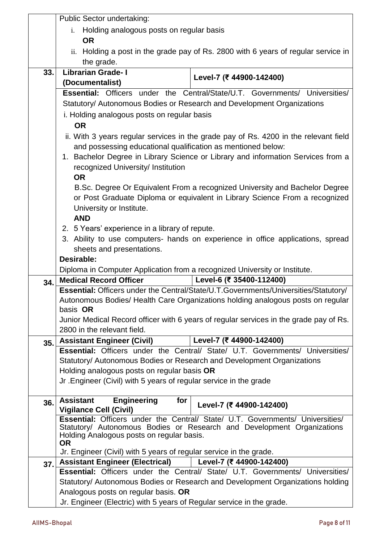|     | Public Sector undertaking:                                                         |                                                                                                                                                         |  |  |
|-----|------------------------------------------------------------------------------------|---------------------------------------------------------------------------------------------------------------------------------------------------------|--|--|
|     | Holding analogous posts on regular basis<br>i.                                     |                                                                                                                                                         |  |  |
|     | <b>OR</b>                                                                          |                                                                                                                                                         |  |  |
|     | ii. Holding a post in the grade pay of Rs. 2800 with 6 years of regular service in |                                                                                                                                                         |  |  |
|     | the grade.                                                                         |                                                                                                                                                         |  |  |
| 33. | <b>Librarian Grade-I</b>                                                           |                                                                                                                                                         |  |  |
|     | (Documentalist)                                                                    | Level-7 (₹ 44900-142400)                                                                                                                                |  |  |
|     |                                                                                    | <b>Essential:</b> Officers under the Central/State/U.T. Governments/ Universities/                                                                      |  |  |
|     |                                                                                    | Statutory/ Autonomous Bodies or Research and Development Organizations                                                                                  |  |  |
|     |                                                                                    |                                                                                                                                                         |  |  |
|     | i. Holding analogous posts on regular basis                                        |                                                                                                                                                         |  |  |
|     | <b>OR</b>                                                                          |                                                                                                                                                         |  |  |
|     |                                                                                    | ii. With 3 years regular services in the grade pay of Rs. 4200 in the relevant field                                                                    |  |  |
|     | and possessing educational qualification as mentioned below:                       |                                                                                                                                                         |  |  |
|     |                                                                                    | 1. Bachelor Degree in Library Science or Library and information Services from a                                                                        |  |  |
|     | recognized University/ Institution                                                 |                                                                                                                                                         |  |  |
|     | <b>OR</b>                                                                          |                                                                                                                                                         |  |  |
|     |                                                                                    | B.Sc. Degree Or Equivalent From a recognized University and Bachelor Degree                                                                             |  |  |
|     |                                                                                    | or Post Graduate Diploma or equivalent in Library Science From a recognized                                                                             |  |  |
|     | University or Institute.                                                           |                                                                                                                                                         |  |  |
|     | <b>AND</b>                                                                         |                                                                                                                                                         |  |  |
|     | 2. 5 Years' experience in a library of repute.                                     |                                                                                                                                                         |  |  |
|     |                                                                                    | 3. Ability to use computers- hands on experience in office applications, spread                                                                         |  |  |
|     | sheets and presentations.                                                          |                                                                                                                                                         |  |  |
|     | Desirable:                                                                         |                                                                                                                                                         |  |  |
|     | Diploma in Computer Application from a recognized University or Institute.         |                                                                                                                                                         |  |  |
| 34. | <b>Medical Record Officer</b>                                                      | Level-6 (₹ 35400-112400)                                                                                                                                |  |  |
|     |                                                                                    | Essential: Officers under the Central/State/U.T.Governments/Universities/Statutory/                                                                     |  |  |
|     |                                                                                    | Autonomous Bodies/ Health Care Organizations holding analogous posts on regular                                                                         |  |  |
|     | basis OR                                                                           |                                                                                                                                                         |  |  |
|     |                                                                                    | Junior Medical Record officer with 6 years of regular services in the grade pay of Rs.                                                                  |  |  |
|     | 2800 in the relevant field.                                                        |                                                                                                                                                         |  |  |
| 35. | <b>Assistant Engineer (Civil)</b>                                                  | Level-7 (₹ 44900-142400)                                                                                                                                |  |  |
|     |                                                                                    | Essential: Officers under the Central/ State/ U.T. Governments/ Universities/<br>Statutory/ Autonomous Bodies or Research and Development Organizations |  |  |
|     | Holding analogous posts on regular basis OR                                        |                                                                                                                                                         |  |  |
|     | Jr. Engineer (Civil) with 5 years of regular service in the grade                  |                                                                                                                                                         |  |  |
|     |                                                                                    |                                                                                                                                                         |  |  |
|     | <b>Assistant</b><br><b>Engineering</b><br>for                                      |                                                                                                                                                         |  |  |
| 36. | <b>Vigilance Cell (Civil)</b>                                                      | Level-7 (₹ 44900-142400)                                                                                                                                |  |  |
|     |                                                                                    | <b>Essential: Officers under the Central/ State/ U.T. Governments/ Universities/</b>                                                                    |  |  |
|     |                                                                                    | Statutory/ Autonomous Bodies or Research and Development Organizations                                                                                  |  |  |
|     | Holding Analogous posts on regular basis.                                          |                                                                                                                                                         |  |  |
|     | <b>OR</b><br>Jr. Engineer (Civil) with 5 years of regular service in the grade.    |                                                                                                                                                         |  |  |
|     | <b>Assistant Engineer (Electrical)</b>                                             | Level-7 (₹ 44900-142400)                                                                                                                                |  |  |
| 37. |                                                                                    | <b>Essential:</b> Officers under the Central/ State/ U.T. Governments/ Universities/                                                                    |  |  |
|     |                                                                                    | Statutory/ Autonomous Bodies or Research and Development Organizations holding                                                                          |  |  |
|     | Analogous posts on regular basis. OR                                               |                                                                                                                                                         |  |  |
|     | Jr. Engineer (Electric) with 5 years of Regular service in the grade.              |                                                                                                                                                         |  |  |
|     |                                                                                    |                                                                                                                                                         |  |  |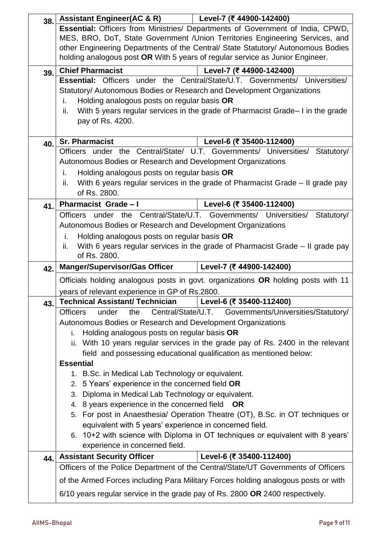| 38. | Assistant Engineer(AC & R)   Level-7 (₹ 44900-142400)                            |                                                                                                                                           |  |  |
|-----|----------------------------------------------------------------------------------|-------------------------------------------------------------------------------------------------------------------------------------------|--|--|
|     |                                                                                  | Essential: Officers from Ministries/ Departments of Government of India, CPWD,                                                            |  |  |
|     |                                                                                  | MES, BRO, DoT, State Government /Union Territories Engineering Services, and                                                              |  |  |
|     | other Engineering Departments of the Central/ State Statutory/ Autonomous Bodies |                                                                                                                                           |  |  |
|     | holding analogous post OR With 5 years of regular service as Junior Engineer.    |                                                                                                                                           |  |  |
|     | <b>Chief Pharmacist</b>                                                          | Level-7 (₹ 44900-142400)                                                                                                                  |  |  |
| 39. |                                                                                  | <b>Essential:</b> Officers under the Central/State/U.T. Governments/ Universities/                                                        |  |  |
|     |                                                                                  |                                                                                                                                           |  |  |
|     | Statutory/ Autonomous Bodies or Research and Development Organizations           |                                                                                                                                           |  |  |
|     | Holding analogous posts on regular basis OR<br>Ĺ.                                |                                                                                                                                           |  |  |
|     | ii.                                                                              | With 5 years regular services in the grade of Pharmacist Grade– I in the grade                                                            |  |  |
|     | pay of Rs. 4200.                                                                 |                                                                                                                                           |  |  |
|     |                                                                                  |                                                                                                                                           |  |  |
| 40. | <b>Sr. Pharmacist</b>                                                            | Level-6 (₹ 35400-112400)                                                                                                                  |  |  |
|     |                                                                                  | Officers under the Central/State/ U.T. Governments/ Universities/ Statutory/                                                              |  |  |
|     | Autonomous Bodies or Research and Development Organizations                      |                                                                                                                                           |  |  |
|     | Holding analogous posts on regular basis OR<br>İ.                                |                                                                                                                                           |  |  |
|     | ii.                                                                              | With 6 years regular services in the grade of Pharmacist Grade – Il grade pay                                                             |  |  |
|     | of Rs. 2800.                                                                     |                                                                                                                                           |  |  |
| 41. | <b>Pharmacist Grade-I</b>                                                        | Level-6 (₹ 35400-112400)                                                                                                                  |  |  |
|     | <b>Officers</b>                                                                  | under the Central/State/U.T. Governments/ Universities/<br>Statutory/                                                                     |  |  |
|     | Autonomous Bodies or Research and Development Organizations                      |                                                                                                                                           |  |  |
|     | Holding analogous posts on regular basis OR<br>Ĺ.                                |                                                                                                                                           |  |  |
|     | ii.                                                                              | With 6 years regular services in the grade of Pharmacist Grade - Il grade pay                                                             |  |  |
|     | of Rs. 2800.                                                                     |                                                                                                                                           |  |  |
|     |                                                                                  |                                                                                                                                           |  |  |
|     |                                                                                  |                                                                                                                                           |  |  |
| 42. | <b>Manger/Supervisor/Gas Officer</b>                                             | Level-7 (₹ 44900-142400)                                                                                                                  |  |  |
|     |                                                                                  | Officials holding analogous posts in govt. organizations OR holding posts with 11                                                         |  |  |
|     | years of relevant experience in GP of Rs.2800.                                   |                                                                                                                                           |  |  |
| 43. | Technical Assistant/ Technician                                                  | Level-6 (₹ 35400-112400)                                                                                                                  |  |  |
|     | <b>Officers</b><br>the<br>under                                                  |                                                                                                                                           |  |  |
|     | Autonomous Bodies or Research and Development Organizations                      |                                                                                                                                           |  |  |
|     | Holding analogous posts on regular basis OR<br>i.                                |                                                                                                                                           |  |  |
|     |                                                                                  |                                                                                                                                           |  |  |
|     |                                                                                  | field and possessing educational qualification as mentioned below:                                                                        |  |  |
|     | <b>Essential</b>                                                                 |                                                                                                                                           |  |  |
|     | 1. B.Sc. in Medical Lab Technology or equivalent.                                |                                                                                                                                           |  |  |
|     | 2. 5 Years' experience in the concerned field OR                                 |                                                                                                                                           |  |  |
|     | Diploma in Medical Lab Technology or equivalent.<br>3.                           | Central/State/U.T. Governments/Universities/Statutory/<br>ii. With 10 years regular services in the grade pay of Rs. 2400 in the relevant |  |  |
|     | 4. 8 years experience in the concerned field OR                                  |                                                                                                                                           |  |  |
|     |                                                                                  | 5. For post in Anaesthesia/ Operation Theatre (OT), B.Sc. in OT techniques or                                                             |  |  |
|     | equivalent with 5 years' experience in concerned field.                          |                                                                                                                                           |  |  |
|     |                                                                                  | 6. 10+2 with science with Diploma in OT techniques or equivalent with 8 years'                                                            |  |  |
|     | experience in concerned field.                                                   |                                                                                                                                           |  |  |
|     |                                                                                  |                                                                                                                                           |  |  |
| 44. | <b>Assistant Security Officer</b>                                                | Level-6 (₹ 35400-112400)                                                                                                                  |  |  |
|     |                                                                                  | Officers of the Police Department of the Central/State/UT Governments of Officers                                                         |  |  |
|     | 6/10 years regular service in the grade pay of Rs. 2800 OR 2400 respectively.    | of the Armed Forces including Para Military Forces holding analogous posts or with                                                        |  |  |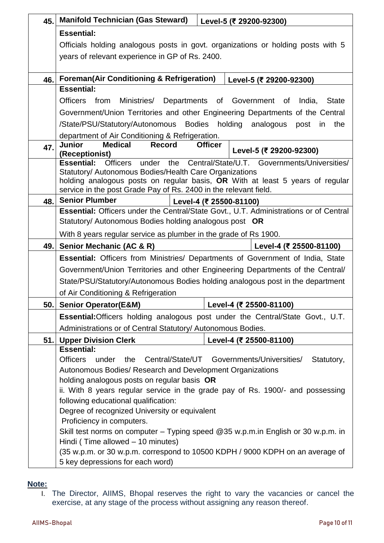| 45.1 | <b>Manifold Technician (Gas Steward)</b><br>Level-5 (₹ 29200-92300)                                                                               |  |  |  |
|------|---------------------------------------------------------------------------------------------------------------------------------------------------|--|--|--|
|      | <b>Essential:</b>                                                                                                                                 |  |  |  |
|      | Officials holding analogous posts in govt. organizations or holding posts with 5                                                                  |  |  |  |
|      | years of relevant experience in GP of Rs. 2400.                                                                                                   |  |  |  |
|      |                                                                                                                                                   |  |  |  |
| 46.  | <b>Foreman(Air Conditioning &amp; Refrigeration)</b><br>Level-5 (₹ 29200-92300)                                                                   |  |  |  |
|      | <b>Essential:</b>                                                                                                                                 |  |  |  |
|      | from Ministries/ Departments of Government of India, State<br><b>Officers</b>                                                                     |  |  |  |
|      | Government/Union Territories and other Engineering Departments of the Central                                                                     |  |  |  |
|      | /State/PSU/Statutory/Autonomous Bodies holding analogous<br>post<br>the<br>in                                                                     |  |  |  |
|      | department of Air Conditioning & Refrigeration.                                                                                                   |  |  |  |
| 47.  | <b>Junior</b><br><b>Medical</b><br><b>Officer</b><br><b>Record</b><br>Level-5 (₹ 29200-92300)<br>(Receptionist)                                   |  |  |  |
|      | Officers under<br>the Central/State/U.T. Governments/Universities/<br><b>Essential:</b>                                                           |  |  |  |
|      | Statutory/ Autonomous Bodies/Health Care Organizations                                                                                            |  |  |  |
|      | holding analogous posts on regular basis, OR With at least 5 years of regular<br>service in the post Grade Pay of Rs. 2400 in the relevant field. |  |  |  |
| 48.  | <b>Senior Plumber</b><br>Level-4 (₹ 25500-81100)                                                                                                  |  |  |  |
|      | Essential: Officers under the Central/State Govt., U.T. Administrations or of Central                                                             |  |  |  |
|      | Statutory/ Autonomous Bodies holding analogous post OR                                                                                            |  |  |  |
|      | With 8 years regular service as plumber in the grade of Rs 1900.                                                                                  |  |  |  |
| 49.  | Senior Mechanic (AC & R)<br>Level-4 (₹ 25500-81100)                                                                                               |  |  |  |
|      | <b>Essential:</b> Officers from Ministries/ Departments of Government of India, State                                                             |  |  |  |
|      | Government/Union Territories and other Engineering Departments of the Central/                                                                    |  |  |  |
|      | State/PSU/Statutory/Autonomous Bodies holding analogous post in the department                                                                    |  |  |  |
|      | of Air Conditioning & Refrigeration                                                                                                               |  |  |  |
|      | 50. Senior Operator(E&M)<br>Level-4 (₹ 25500-81100)                                                                                               |  |  |  |
|      | <b>Essential:</b> Officers holding analogous post under the Central/State Govt., U.T.                                                             |  |  |  |
|      | Administrations or of Central Statutory/ Autonomous Bodies.                                                                                       |  |  |  |
| 51.  | <b>Upper Division Clerk</b><br>Level-4 (₹ 25500-81100)                                                                                            |  |  |  |
|      | <b>Essential:</b>                                                                                                                                 |  |  |  |
|      | Central/State/UT<br>Governments/Universities/<br><b>Officers</b><br>under<br>the<br>Statutory,                                                    |  |  |  |
|      | Autonomous Bodies/ Research and Development Organizations                                                                                         |  |  |  |
|      | holding analogous posts on regular basis OR<br>ii. With 8 years regular service in the grade pay of Rs. 1900/- and possessing                     |  |  |  |
|      | following educational qualification:                                                                                                              |  |  |  |
|      | Degree of recognized University or equivalent                                                                                                     |  |  |  |
|      | Proficiency in computers.                                                                                                                         |  |  |  |
|      | Skill test norms on computer - Typing speed @35 w.p.m.in English or 30 w.p.m. in                                                                  |  |  |  |
|      | Hindi (Time allowed - 10 minutes)                                                                                                                 |  |  |  |
|      | (35 w.p.m. or 30 w.p.m. correspond to 10500 KDPH / 9000 KDPH on an average of                                                                     |  |  |  |
|      | 5 key depressions for each word)                                                                                                                  |  |  |  |

# **Note:**

I. The Director, AIIMS, Bhopal reserves the right to vary the vacancies or cancel the exercise, at any stage of the process without assigning any reason thereof.